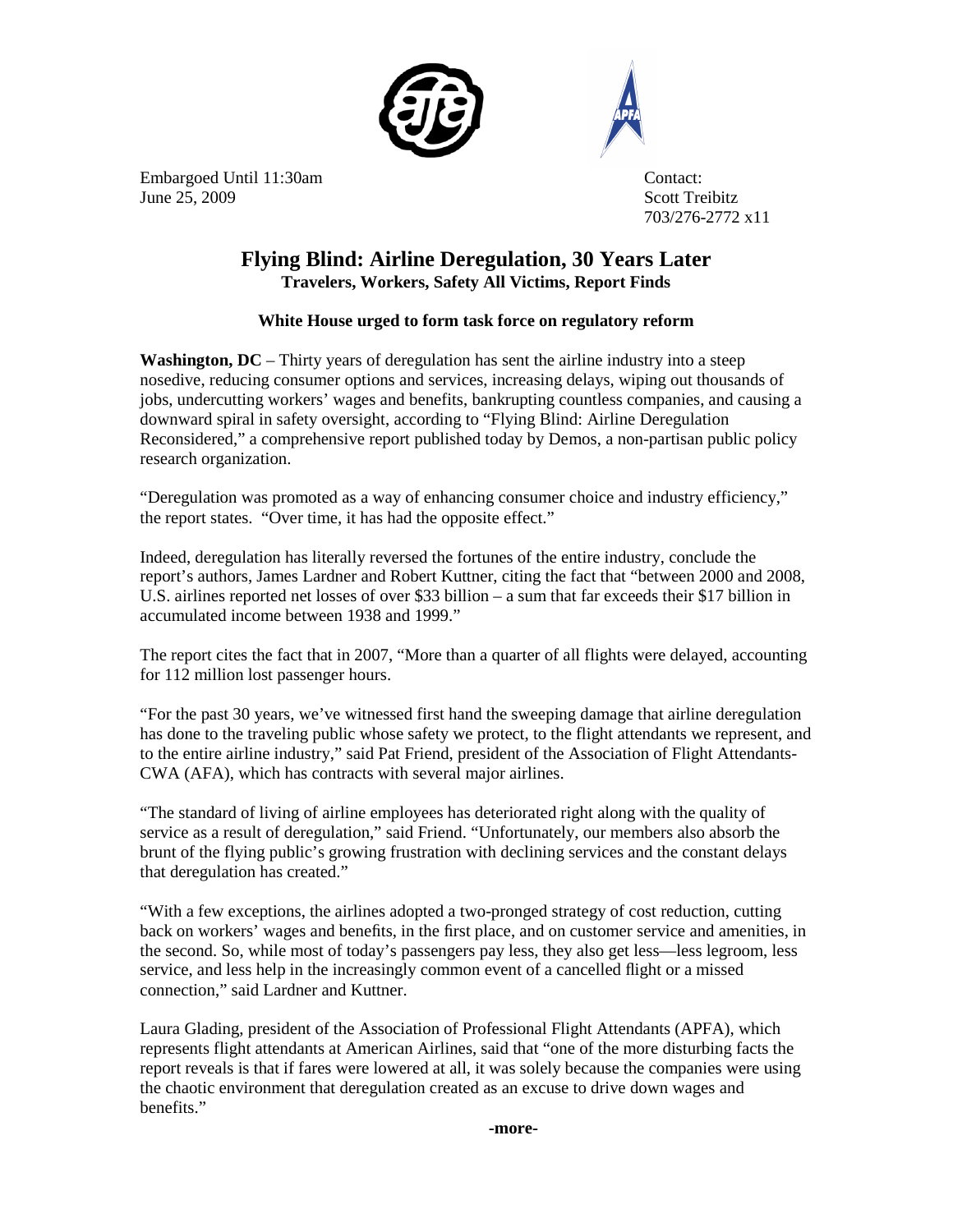



Embargoed Until 11:30am Contact: June 25, 2009 Scott Treibitz

703/276-2772 x11

## **Flying Blind: Airline Deregulation, 30 Years Later Travelers, Workers, Safety All Victims, Report Finds**

## **White House urged to form task force on regulatory reform**

**Washington, DC** – Thirty years of deregulation has sent the airline industry into a steep nosedive, reducing consumer options and services, increasing delays, wiping out thousands of jobs, undercutting workers' wages and benefits, bankrupting countless companies, and causing a downward spiral in safety oversight, according to "Flying Blind: Airline Deregulation Reconsidered," a comprehensive report published today by Demos, a non-partisan public policy research organization.

"Deregulation was promoted as a way of enhancing consumer choice and industry efficiency," the report states. "Over time, it has had the opposite effect."

Indeed, deregulation has literally reversed the fortunes of the entire industry, conclude the report's authors, James Lardner and Robert Kuttner, citing the fact that "between 2000 and 2008, U.S. airlines reported net losses of over \$33 billion – a sum that far exceeds their \$17 billion in accumulated income between 1938 and 1999."

The report cites the fact that in 2007, "More than a quarter of all flights were delayed, accounting for 112 million lost passenger hours.

"For the past 30 years, we've witnessed first hand the sweeping damage that airline deregulation has done to the traveling public whose safety we protect, to the flight attendants we represent, and to the entire airline industry," said Pat Friend, president of the Association of Flight Attendants-CWA (AFA), which has contracts with several major airlines.

"The standard of living of airline employees has deteriorated right along with the quality of service as a result of deregulation," said Friend. "Unfortunately, our members also absorb the brunt of the flying public's growing frustration with declining services and the constant delays that deregulation has created."

"With a few exceptions, the airlines adopted a two-pronged strategy of cost reduction, cutting back on workers' wages and benefits, in the first place, and on customer service and amenities, in the second. So, while most of today's passengers pay less, they also get less—less legroom, less service, and less help in the increasingly common event of a cancelled flight or a missed connection," said Lardner and Kuttner.

Laura Glading, president of the Association of Professional Flight Attendants (APFA), which represents flight attendants at American Airlines, said that "one of the more disturbing facts the report reveals is that if fares were lowered at all, it was solely because the companies were using the chaotic environment that deregulation created as an excuse to drive down wages and benefits."

**-more-**